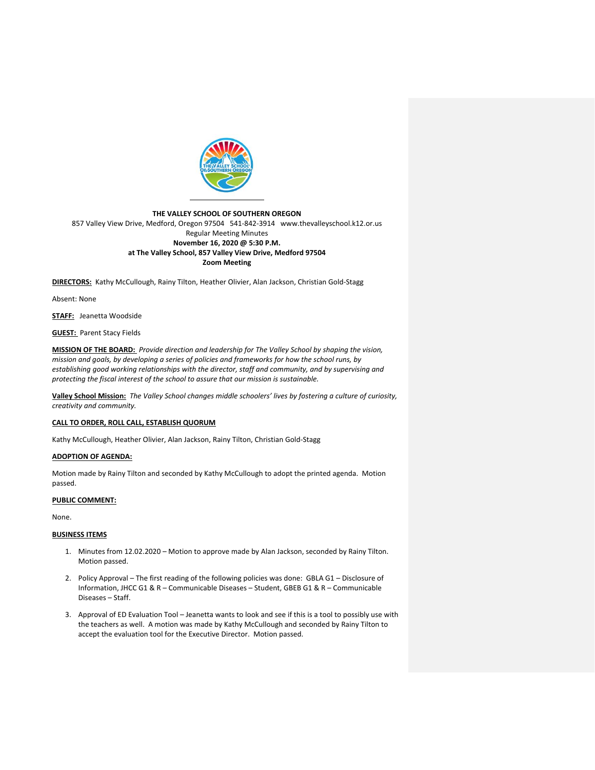

### **THE VALLEY SCHOOL OF SOUTHERN OREGON** 857 Valley View Drive, Medford, Oregon 97504 541-842-3914 www.thevalleyschool.k12.or.us Regular Meeting Minutes **November 16, 2020 @ 5:30 P.M. at The Valley School, 857 Valley View Drive, Medford 97504 Zoom Meeting**

**DIRECTORS:** Kathy McCullough, Rainy Tilton, Heather Olivier, Alan Jackson, Christian Gold-Stagg

Absent: None

**STAFF:** Jeanetta Woodside

### **GUEST:** Parent Stacy Fields

**MISSION OF THE BOARD:** *Provide direction and leadership for The Valley School by shaping the vision, mission and goals, by developing a series of policies and frameworks for how the school runs, by establishing good working relationships with the director, staff and community, and by supervising and protecting the fiscal interest of the school to assure that our mission is sustainable.*

**Valley School Mission:** *The Valley School changes middle schoolers' lives by fostering a culture of curiosity, creativity and community.*

### **CALL TO ORDER, ROLL CALL, ESTABLISH QUORUM**

Kathy McCullough, Heather Olivier, Alan Jackson, Rainy Tilton, Christian Gold-Stagg

### **ADOPTION OF AGENDA:**

Motion made by Rainy Tilton and seconded by Kathy McCullough to adopt the printed agenda. Motion passed.

### **PUBLIC COMMENT:**

None.

# **BUSINESS ITEMS**

- 1. Minutes from 12.02.2020 Motion to approve made by Alan Jackson, seconded by Rainy Tilton. Motion passed.
- 2. Policy Approval The first reading of the following policies was done: GBLA G1 Disclosure of Information, JHCC G1 & R – Communicable Diseases – Student, GBEB G1 & R – Communicable Diseases – Staff.
- 3. Approval of ED Evaluation Tool Jeanetta wants to look and see if this is a tool to possibly use with the teachers as well. A motion was made by Kathy McCullough and seconded by Rainy Tilton to accept the evaluation tool for the Executive Director. Motion passed.